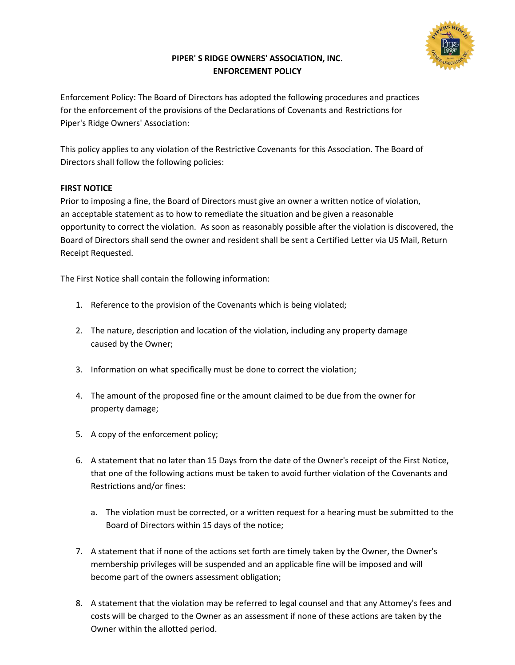

## **PIPER' S RIDGE OWNERS' ASSOCIATION, INC. ENFORCEMENT POLICY**

Enforcement Policy: The Board of Directors has adopted the following procedures and practices for the enforcement of the provisions of the Declarations of Covenants and Restrictions for Piper's Ridge Owners' Association:

This policy applies to any violation of the Restrictive Covenants for this Association. The Board of Directors shall follow the following policies:

## **FIRST NOTICE**

Prior to imposing a fine, the Board of Directors must give an owner a written notice of violation, an acceptable statement as to how to remediate the situation and be given a reasonable opportunity to correct the violation. As soon as reasonably possible after the violation is discovered, the Board of Directors shall send the owner and resident shall be sent a Certified Letter via US Mail, Return Receipt Requested.

The First Notice shall contain the following information:

- 1. Reference to the provision of the Covenants which is being violated;
- 2. The nature, description and location of the violation, including any property damage caused by the Owner;
- 3. Information on what specifically must be done to correct the violation;
- 4. The amount of the proposed fine or the amount claimed to be due from the owner for property damage;
- 5. A copy of the enforcement policy;
- 6. A statement that no later than 15 Days from the date of the Owner's receipt of the First Notice, that one of the following actions must be taken to avoid further violation of the Covenants and Restrictions and/or fines:
	- a. The violation must be corrected, or a written request for a hearing must be submitted to the Board of Directors within 15 days of the notice;
- 7. A statement that if none of the actions set forth are timely taken by the Owner, the Owner's membership privileges will be suspended and an applicable fine will be imposed and will become part of the owners assessment obligation;
- 8. A statement that the violation may be referred to legal counsel and that any Attomey's fees and costs will be charged to the Owner as an assessment if none of these actions are taken by the Owner within the allotted period.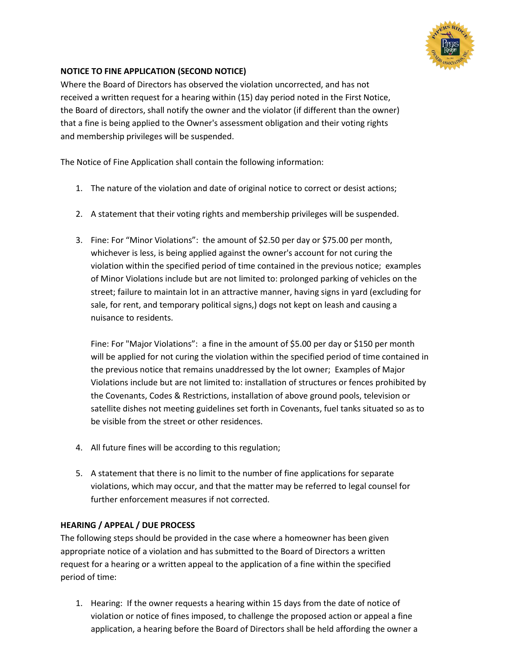

## **NOTICE TO FINE APPLICATION (SECOND NOTICE)**

Where the Board of Directors has observed the violation uncorrected, and has not received a written request for a hearing within (15) day period noted in the First Notice, the Board of directors, shall notify the owner and the violator (if different than the owner) that a fine is being applied to the Owner's assessment obligation and their voting rights and membership privileges will be suspended.

The Notice of Fine Application shall contain the following information:

- 1. The nature of the violation and date of original notice to correct or desist actions;
- 2. A statement that their voting rights and membership privileges will be suspended.
- 3. Fine: For "Minor Violations": the amount of \$2.50 per day or \$75.00 per month, whichever is less, is being applied against the owner's account for not curing the violation within the specified period of time contained in the previous notice; examples of Minor Violations include but are not limited to: prolonged parking of vehicles on the street; failure to maintain lot in an attractive manner, having signs in yard (excluding for sale, for rent, and temporary political signs,) dogs not kept on leash and causing a nuisance to residents.

Fine: For "Major Violations": a fine in the amount of \$5.00 per day or \$150 per month will be applied for not curing the violation within the specified period of time contained in the previous notice that remains unaddressed by the lot owner; Examples of Major Violations include but are not limited to: installation of structures or fences prohibited by the Covenants, Codes & Restrictions, installation of above ground pools, television or satellite dishes not meeting guidelines set forth in Covenants, fuel tanks situated so as to be visible from the street or other residences.

- 4. All future fines will be according to this regulation;
- 5. A statement that there is no limit to the number of fine applications for separate violations, which may occur, and that the matter may be referred to legal counsel for further enforcement measures if not corrected.

## **HEARING / APPEAL / DUE PROCESS**

The following steps should be provided in the case where a homeowner has been given appropriate notice of a violation and has submitted to the Board of Directors a written request for a hearing or a written appeal to the application of a fine within the specified period of time:

1. Hearing: If the owner requests a hearing within 15 days from the date of notice of violation or notice of fines imposed, to challenge the proposed action or appeal a fine application, a hearing before the Board of Directors shall be held affording the owner a